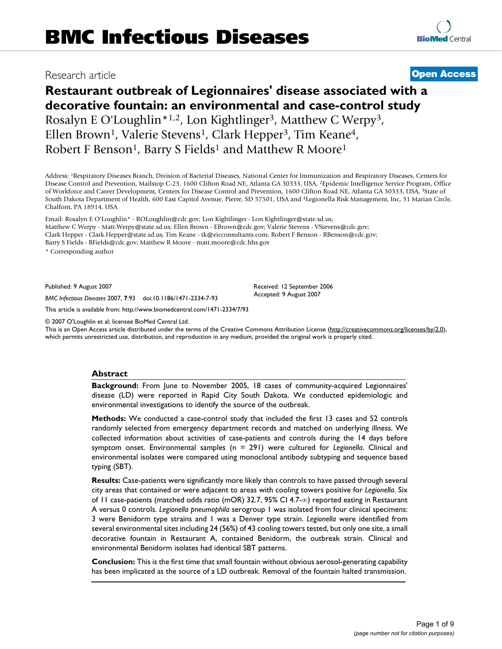# **Restaurant outbreak of Legionnaires' disease associated with a decorative fountain: an environmental and case-control study** Rosalyn E O'Loughlin<sup>\*1,2</sup>, Lon Kightlinger<sup>3</sup>, Matthew C Werpy<sup>3</sup>, Ellen Brown<sup>1</sup>, Valerie Stevens<sup>1</sup>, Clark Hepper<sup>3</sup>, Tim Keane<sup>4</sup>,

Robert F Benson<sup>1</sup>, Barry S Fields<sup>1</sup> and Matthew R Moore<sup>1</sup>

Address: 1Respiratory Diseases Branch, Division of Bacterial Diseases, National Center for Immunization and Respiratory Diseases, Centers for Disease Control and Prevention, Mailstop C-23, 1600 Clifton Road NE, Atlanta GA 30333, USA, 2Epidemic Intelligence Service Program, Office of Workforce and Career Development, Centers for Disease Control and Prevention, 1600 Clifton Road NE, Atlanta GA 30333, USA, 3State of South Dakota Department of Health, 600 East Capitol Avenue, Pierre, SD 57501, USA and 4Legionella Risk Management, Inc, 31 Marian Circle, Chalfont, PA 18914, USA

Email: Rosalyn E O'Loughlin\* - ROLoughlin@cdc.gov; Lon Kightlinger - Lon.Kightlinger@state.sd.us; Matthew C Werpy - Matt.Werpy@state.sd.us; Ellen Brown - EBrown@cdc.gov; Valerie Stevens - VStevens@cdc.gov; Clark Hepper - Clark.Hepper@state.sd.us; Tim Keane - tk@eicconsultants.com; Robert F Benson - RBenson@cdc.gov; Barry S Fields - BFields@cdc.gov; Matthew R Moore - matt.moore@cdc.hhs.gov

\* Corresponding author

Published: 9 August 2007

*BMC Infectious Diseases* 2007, **7**:93 doi:10.1186/1471-2334-7-93

[This article is available from: http://www.biomedcentral.com/1471-2334/7/93](http://www.biomedcentral.com/1471-2334/7/93)

© 2007 O'Loughlin et al; licensee BioMed Central Ltd.

This is an Open Access article distributed under the terms of the Creative Commons Attribution License [\(http://creativecommons.org/licenses/by/2.0\)](http://creativecommons.org/licenses/by/2.0), which permits unrestricted use, distribution, and reproduction in any medium, provided the original work is properly cited.

#### **Abstract**

**Background:** From June to November 2005, 18 cases of community-acquired Legionnaires' disease (LD) were reported in Rapid City South Dakota. We conducted epidemiologic and environmental investigations to identify the source of the outbreak.

**Methods:** We conducted a case-control study that included the first 13 cases and 52 controls randomly selected from emergency department records and matched on underlying illness. We collected information about activities of case-patients and controls during the 14 days before symptom onset. Environmental samples (n = 291) were cultured for *Legionella*. Clinical and environmental isolates were compared using monoclonal antibody subtyping and sequence based typing (SBT).

**Results:** Case-patients were significantly more likely than controls to have passed through several city areas that contained or were adjacent to areas with cooling towers positive for *Legionella*. Six of 11 case-patients (matched odds ratio (mOR) 32.7, 95% CI 4.7-∞) reported eating in Restaurant A versus 0 controls. *Legionella pneumophila* serogroup 1 was isolated from four clinical specimens: 3 were Benidorm type strains and 1 was a Denver type strain. *Legionella* were identified from several environmental sites including 24 (56%) of 43 cooling towers tested, but only one site, a small decorative fountain in Restaurant A, contained Benidorm, the outbreak strain. Clinical and environmental Benidorm isolates had identical SBT patterns.

**Conclusion:** This is the first time that small fountain without obvious aerosol-generating capability has been implicated as the source of a LD outbreak. Removal of the fountain halted transmission.

## Research article **[Open Access](http://www.biomedcentral.com/info/about/charter/)**

Received: 12 September 2006 Accepted: 9 August 2007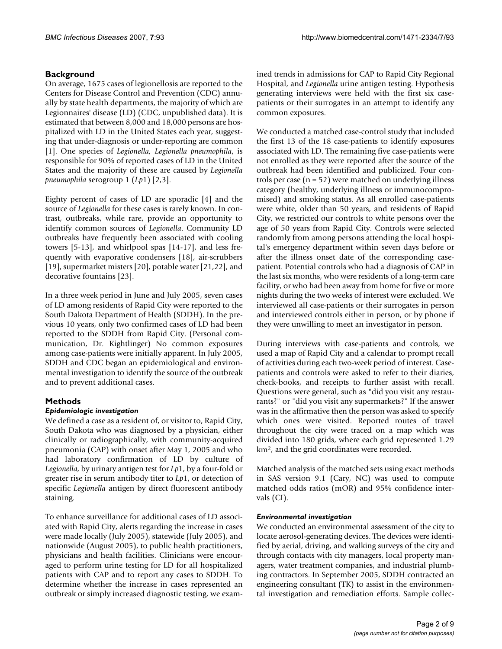#### **Background**

On average, 1675 cases of legionellosis are reported to the Centers for Disease Control and Prevention (CDC) annually by state health departments, the majority of which are Legionnaires' disease (LD) (CDC, unpublished data). It is estimated that between 8,000 and 18,000 persons are hospitalized with LD in the United States each year, suggesting that under-diagnosis or under-reporting are common [1]. One species of *Legionella, Legionella pneumophila*, is responsible for 90% of reported cases of LD in the United States and the majority of these are caused by *Legionella pneumophila* serogroup 1 (*Lp*1) [2,3].

Eighty percent of cases of LD are sporadic [4] and the source of *Legionella* for these cases is rarely known. In contrast, outbreaks, while rare, provide an opportunity to identify common sources of *Legionella*. Community LD outbreaks have frequently been associated with cooling towers [5-13], and whirlpool spas [14-17], and less frequently with evaporative condensers [18], air-scrubbers [19], supermarket misters [20], potable water [21,22], and decorative fountains [23].

In a three week period in June and July 2005, seven cases of LD among residents of Rapid City were reported to the South Dakota Department of Health (SDDH). In the previous 10 years, only two confirmed cases of LD had been reported to the SDDH from Rapid City. (Personal communication, Dr. Kightlinger) No common exposures among case-patients were initially apparent. In July 2005, SDDH and CDC began an epidemiological and environmental investigation to identify the source of the outbreak and to prevent additional cases.

### **Methods**

#### *Epidemiologic investigation*

We defined a case as a resident of, or visitor to, Rapid City, South Dakota who was diagnosed by a physician, either clinically or radiographically, with community-acquired pneumonia (CAP) with onset after May 1, 2005 and who had laboratory confirmation of LD by culture of *Legionella*, by urinary antigen test for *Lp*1, by a four-fold or greater rise in serum antibody titer to *Lp*1, or detection of specific *Legionella* antigen by direct fluorescent antibody staining.

To enhance surveillance for additional cases of LD associated with Rapid City, alerts regarding the increase in cases were made locally (July 2005), statewide (July 2005), and nationwide (August 2005), to public health practitioners, physicians and health facilities. Clinicians were encouraged to perform urine testing for LD for all hospitalized patients with CAP and to report any cases to SDDH. To determine whether the increase in cases represented an outbreak or simply increased diagnostic testing, we examined trends in admissions for CAP to Rapid City Regional Hospital, and *Legionella* urine antigen testing. Hypothesis generating interviews were held with the first six casepatients or their surrogates in an attempt to identify any common exposures.

We conducted a matched case-control study that included the first 13 of the 18 case-patients to identify exposures associated with LD. The remaining five case-patients were not enrolled as they were reported after the source of the outbreak had been identified and publicized. Four controls per case (n = 52) were matched on underlying illness category (healthy, underlying illness or immunocompromised) and smoking status. As all enrolled case-patients were white, older than 50 years, and residents of Rapid City, we restricted our controls to white persons over the age of 50 years from Rapid City. Controls were selected randomly from among persons attending the local hospital's emergency department within seven days before or after the illness onset date of the corresponding casepatient. Potential controls who had a diagnosis of CAP in the last six months, who were residents of a long-term care facility, or who had been away from home for five or more nights during the two weeks of interest were excluded. We interviewed all case-patients or their surrogates in person and interviewed controls either in person, or by phone if they were unwilling to meet an investigator in person.

During interviews with case-patients and controls, we used a map of Rapid City and a calendar to prompt recall of activities during each two-week period of interest. Casepatients and controls were asked to refer to their diaries, check-books, and receipts to further assist with recall. Questions were general, such as "did you visit any restaurants?" or "did you visit any supermarkets?" If the answer was in the affirmative then the person was asked to specify which ones were visited. Reported routes of travel throughout the city were traced on a map which was divided into 180 grids, where each grid represented 1.29 km2, and the grid coordinates were recorded.

Matched analysis of the matched sets using exact methods in SAS version 9.1 (Cary, NC) was used to compute matched odds ratios (mOR) and 95% confidence intervals (CI).

#### *Environmental investigation*

We conducted an environmental assessment of the city to locate aerosol-generating devices. The devices were identified by aerial, driving, and walking surveys of the city and through contacts with city managers, local property managers, water treatment companies, and industrial plumbing contractors. In September 2005, SDDH contracted an engineering consultant (TK) to assist in the environmental investigation and remediation efforts. Sample collec-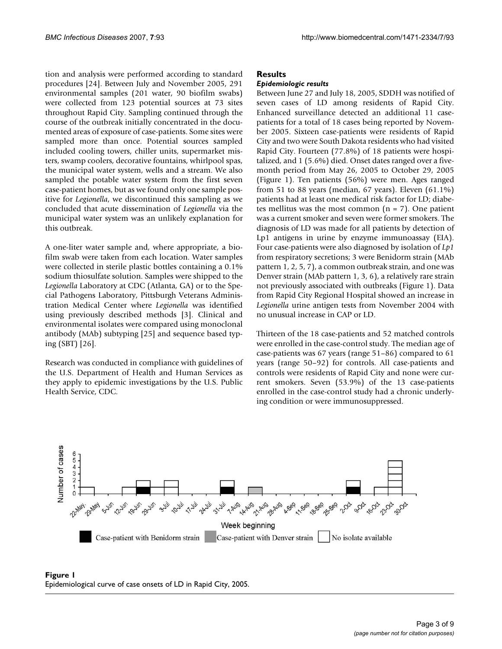tion and analysis were performed according to standard procedures [24]. Between July and November 2005, 291 environmental samples (201 water, 90 biofilm swabs) were collected from 123 potential sources at 73 sites throughout Rapid City. Sampling continued through the course of the outbreak initially concentrated in the documented areas of exposure of case-patients. Some sites were sampled more than once. Potential sources sampled included cooling towers, chiller units, supermarket misters, swamp coolers, decorative fountains, whirlpool spas, the municipal water system, wells and a stream. We also sampled the potable water system from the first seven case-patient homes, but as we found only one sample positive for *Legionella*, we discontinued this sampling as we concluded that acute dissemination of *Legionella* via the municipal water system was an unlikely explanation for this outbreak.

A one-liter water sample and, where appropriate, a biofilm swab were taken from each location. Water samples were collected in sterile plastic bottles containing a 0.1% sodium thiosulfate solution. Samples were shipped to the *Legionella* Laboratory at CDC (Atlanta, GA) or to the Special Pathogens Laboratory, Pittsburgh Veterans Administration Medical Center where *Legionella* was identified using previously described methods [3]. Clinical and environmental isolates were compared using monoclonal antibody (MAb) subtyping [25] and sequence based typing (SBT) [26].

Research was conducted in compliance with guidelines of the U.S. Department of Health and Human Services as they apply to epidemic investigations by the U.S. Public Health Service, CDC.

#### **Results**

#### *Epidemiologic results*

Between June 27 and July 18, 2005, SDDH was notified of seven cases of LD among residents of Rapid City. Enhanced surveillance detected an additional 11 casepatients for a total of 18 cases being reported by November 2005. Sixteen case-patients were residents of Rapid City and two were South Dakota residents who had visited Rapid City. Fourteen (77.8%) of 18 patients were hospitalized, and 1 (5.6%) died. Onset dates ranged over a fivemonth period from May 26, 2005 to October 29, 2005 (Figure 1). Ten patients (56%) were men. Ages ranged from 51 to 88 years (median, 67 years). Eleven (61.1%) patients had at least one medical risk factor for LD; diabetes mellitus was the most common  $(n = 7)$ . One patient was a current smoker and seven were former smokers. The diagnosis of LD was made for all patients by detection of Lp1 antigens in urine by enzyme immunoassay (EIA). Four case-patients were also diagnosed by isolation of *Lp1* from respiratory secretions; 3 were Benidorm strain (MAb pattern 1, 2, 5, 7), a common outbreak strain, and one was Denver strain (MAb pattern 1, 3, 6), a relatively rare strain not previously associated with outbreaks (Figure 1). Data from Rapid City Regional Hospital showed an increase in *Legionella* urine antigen tests from November 2004 with no unusual increase in CAP or LD.

Thirteen of the 18 case-patients and 52 matched controls were enrolled in the case-control study. The median age of case-patients was 67 years (range 51–86) compared to 61 years (range 50–92) for controls. All case-patients and controls were residents of Rapid City and none were current smokers. Seven (53.9%) of the 13 case-patients enrolled in the case-control study had a chronic underlying condition or were immunosuppressed.



#### Figure 1 Epidemiological curve of case onsets of LD in Rapid City, 2005.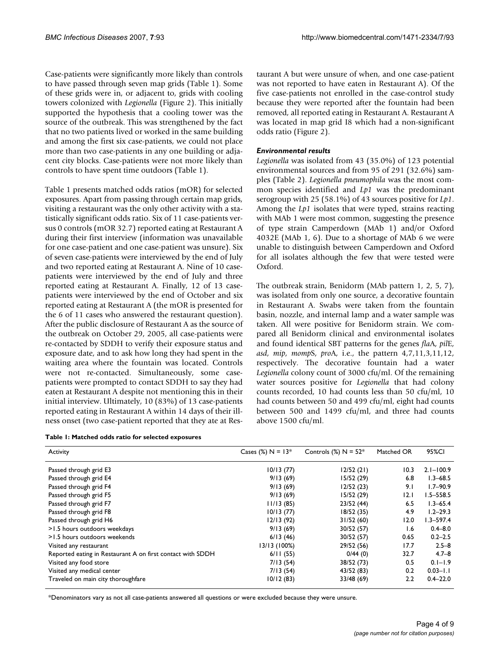Case-patients were significantly more likely than controls to have passed through seven map grids (Table 1). Some of these grids were in, or adjacent to, grids with cooling towers colonized with *Legionella* (Figure 2). This initially supported the hypothesis that a cooling tower was the source of the outbreak. This was strengthened by the fact that no two patients lived or worked in the same building and among the first six case-patients, we could not place more than two case-patients in any one building or adjacent city blocks. Case-patients were not more likely than controls to have spent time outdoors (Table 1).

Table 1 presents matched odds ratios (mOR) for selected exposures. Apart from passing through certain map grids, visiting a restaurant was the only other activity with a statistically significant odds ratio. Six of 11 case-patients versus 0 controls (mOR 32.7) reported eating at Restaurant A during their first interview (information was unavailable for one case-patient and one case-patient was unsure). Six of seven case-patients were interviewed by the end of July and two reported eating at Restaurant A. Nine of 10 casepatients were interviewed by the end of July and three reported eating at Restaurant A. Finally, 12 of 13 casepatients were interviewed by the end of October and six reported eating at Restaurant A (the mOR is presented for the 6 of 11 cases who answered the restaurant question). After the public disclosure of Restaurant A as the source of the outbreak on October 29, 2005, all case-patients were re-contacted by SDDH to verify their exposure status and exposure date, and to ask how long they had spent in the waiting area where the fountain was located. Controls were not re-contacted. Simultaneously, some casepatients were prompted to contact SDDH to say they had eaten at Restaurant A despite not mentioning this in their initial interview. Ultimately, 10 (83%) of 13 case-patients reported eating in Restaurant A within 14 days of their illness onset (two case-patient reported that they ate at Res-

| Table 1: Matched odds ratio for selected exposures |  |
|----------------------------------------------------|--|
|----------------------------------------------------|--|

taurant A but were unsure of when, and one case-patient was not reported to have eaten in Restaurant A). Of the five case-patients not enrolled in the case-control study because they were reported after the fountain had been removed, all reported eating in Restaurant A. Restaurant A was located in map grid I8 which had a non-significant odds ratio (Figure 2).

#### *Environmental results*

*Legionella* was isolated from 43 (35.0%) of 123 potential environmental sources and from 95 of 291 (32.6%) samples (Table 2). *Legionella pneumophila* was the most common species identified and *Lp1* was the predominant serogroup with 25 (58.1%) of 43 sources positive for *Lp1*. Among the *Lp1* isolates that were typed, strains reacting with MAb 1 were most common, suggesting the presence of type strain Camperdown (MAb 1) and/or Oxford 4032E (MAb 1, 6). Due to a shortage of MAb 6 we were unable to distinguish between Camperdown and Oxford for all isolates although the few that were tested were Oxford.

The outbreak strain, Benidorm (MAb pattern 1, 2, 5, 7), was isolated from only one source, a decorative fountain in Restaurant A. Swabs were taken from the fountain basin, nozzle, and internal lamp and a water sample was taken. All were positive for Benidorm strain. We compared all Benidorm clinical and environmental isolates and found identical SBT patterns for the genes *fla*A, *pil*E, *asd*, *mip*, *momp*S, *pro*A, i.e., the pattern 4,7,11,3,11,12, respectively. The decorative fountain had a water *Legionella* colony count of 3000 cfu/ml. Of the remaining water sources positive for *Legionella* that had colony counts recorded, 10 had counts less than 50 cfu/ml, 10 had counts between 50 and 499 cfu/ml, eight had counts between 500 and 1499 cfu/ml, and three had counts above 1500 cfu/ml.

| <b>Activity</b>                                            | Cases (%) $N = 13*$ | Controls $(\%) N = 52*$ | Matched OR | 95%CI         |
|------------------------------------------------------------|---------------------|-------------------------|------------|---------------|
| Passed through grid E3                                     | 10/13(77)           | 12/52(21)               | 10.3       | $2.1 - 100.9$ |
| Passed through grid E4                                     | 9/13(69)            | 15/52 (29)              | 6.8        | $1.3 - 68.5$  |
| Passed through grid F4                                     | 9/13(69)            | 12/52(23)               | 9.1        | $1.7 - 90.9$  |
| Passed through grid F5                                     | 9/13(69)            | 15/52(29)               | 12.1       | $1.5 - 558.5$ |
| Passed through grid F7                                     | 11/13(85)           | 23/52(44)               | 6.5        | $1.3 - 65.4$  |
| Passed through grid F8                                     | 10/13(77)           | 18/52(35)               | 4.9        | $1.2 - 29.3$  |
| Passed through grid H6                                     | 12/13(92)           | 31/52(60)               | 12.0       | $1.3 - 597.4$ |
| >1.5 hours outdoors weekdays                               | 9/13(69)            | 30/52 (57)              | 1.6        | $0.4 - 8.0$   |
| >1.5 hours outdoors weekends                               | 6/13(46)            | 30/52 (57)              | 0.65       | $0.2 - 2.5$   |
| Visited any restaurant                                     | 13/13 (100%)        | 29/52 (56)              | 17.7       | $2.5 - 8$     |
| Reported eating in Restaurant A on first contact with SDDH | 6/11(55)            | 0/44(0)                 | 32.7       | $4.7 - 8$     |
| Visited any food store                                     | 7/13(54)            | 38/52 (73)              | 0.5        | $0.1 - 1.9$   |
| Visited any medical center                                 | 7/13(54)            | 43/52 (83)              | 0.2        | $0.03 - 1.1$  |
| Traveled on main city thoroughfare                         | 10/12(83)           | 33/48 (69)              | 2.2        | $0.4 - 22.0$  |

\*Denominators vary as not all case-patients answered all questions or were excluded because they were unsure.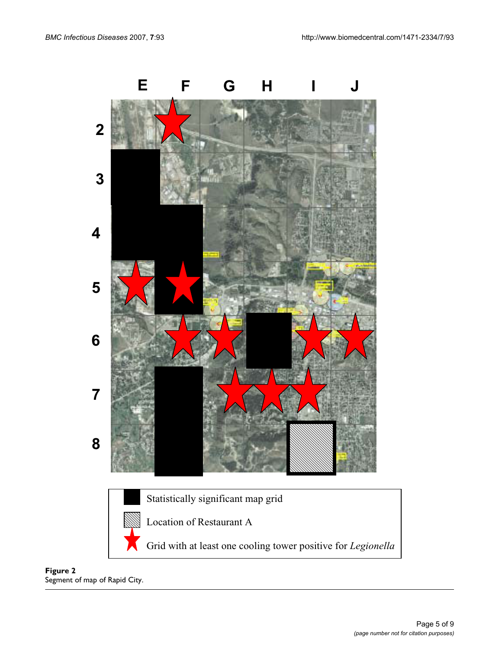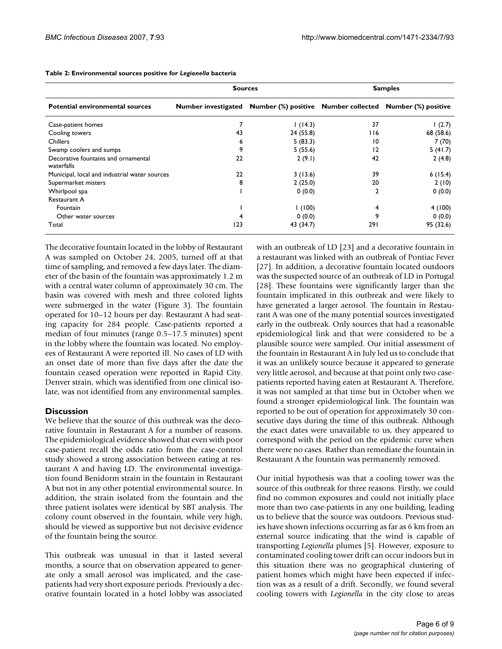|                                                   | <b>Sources</b>             |           | <b>Samples</b> |                                                          |
|---------------------------------------------------|----------------------------|-----------|----------------|----------------------------------------------------------|
| <b>Potential environmental sources</b>            | <b>Number investigated</b> |           |                | Number (%) positive Number collected Number (%) positive |
| Case-patient homes                                |                            | 1(14.3)   | 37             | 1(2.7)                                                   |
| Cooling towers                                    | 43                         | 24 (55.8) | I 16           | 68 (58.6)                                                |
| Chillers                                          | 6                          | 5(83.3)   | 10             | 7(70)                                                    |
| Swamp coolers and sumps                           | 9                          | 5(55.6)   | 2              | 5(41.7)                                                  |
| Decorative fountains and ornamental<br>waterfalls | 22                         | 2(9.1)    | 42             | 2(4.8)                                                   |
| Municipal, local and industrial water sources     | 22                         | 3(13.6)   | 39             | 6(15.4)                                                  |
| Supermarket misters                               | 8                          | 2(25.0)   | 20             | 2(10)                                                    |
| Whirlpool spa                                     |                            | 0(0.0)    | $\mathbf{2}$   | 0(0.0)                                                   |
| <b>Restaurant A</b>                               |                            |           |                |                                                          |
| Fountain                                          |                            | 1(100)    | 4              | 4(100)                                                   |
| Other water sources                               |                            | 0(0.0)    | 9              | 0(0.0)                                                   |
| Total                                             | 123                        | 43 (34.7) | 291            | 95 (32.6)                                                |

**Table 2: Environmental sources positive for** *Legionella* **bacteria**

The decorative fountain located in the lobby of Restaurant A was sampled on October 24, 2005, turned off at that time of sampling, and removed a few days later. The diameter of the basin of the fountain was approximately 1.2 m with a central water column of approximately 30 cm. The basin was covered with mesh and three colored lights were submerged in the water (Figure 3). The fountain operated for 10–12 hours per day. Restaurant A had seating capacity for 284 people. Case-patients reported a median of four minutes (range 0.5–17.5 minutes) spent in the lobby where the fountain was located. No employees of Restaurant A were reported ill. No cases of LD with an onset date of more than five days after the date the fountain ceased operation were reported in Rapid City. Denver strain, which was identified from one clinical isolate, was not identified from any environmental samples.

#### **Discussion**

We believe that the source of this outbreak was the decorative fountain in Restaurant A for a number of reasons. The epidemiological evidence showed that even with poor case-patient recall the odds ratio from the case-control study showed a strong association between eating at restaurant A and having LD. The environmental investigation found Benidorm strain in the fountain in Restaurant A but not in any other potential environmental source. In addition, the strain isolated from the fountain and the three patient isolates were identical by SBT analysis. The colony count observed in the fountain, while very high, should be viewed as supportive but not decisive evidence of the fountain being the source.

This outbreak was unusual in that it lasted several months, a source that on observation appeared to generate only a small aerosol was implicated, and the casepatients had very short exposure periods. Previously a decorative fountain located in a hotel lobby was associated

with an outbreak of LD [23] and a decorative fountain in a restaurant was linked with an outbreak of Pontiac Fever [27]. In addition, a decorative fountain located outdoors was the suspected source of an outbreak of LD in Portugal [28]. These fountains were significantly larger than the fountain implicated in this outbreak and were likely to have generated a larger aerosol. The fountain in Restaurant A was one of the many potential sources investigated early in the outbreak. Only sources that had a reasonable epidemiological link and that were considered to be a plausible source were sampled. Our initial assessment of the fountain in Restaurant A in July led us to conclude that it was an unlikely source because it appeared to generate very little aerosol, and because at that point only two casepatients reported having eaten at Restaurant A. Therefore, it was not sampled at that time but in October when we found a stronger epidemiological link. The fountain was reported to be out of operation for approximately 30 consecutive days during the time of this outbreak. Although the exact dates were unavailable to us, they appeared to correspond with the period on the epidemic curve when there were no cases. Rather than remediate the fountain in Restaurant A the fountain was permanently removed.

Our initial hypothesis was that a cooling tower was the source of this outbreak for three reasons. Firstly, we could find no common exposures and could not initially place more than two case-patients in any one building, leading us to believe that the source was outdoors. Previous studies have shown infections occurring as far as 6 km from an external source indicating that the wind is capable of transporting *Legionella* plumes [5]. However, exposure to contaminated cooling tower drift can occur indoors but in this situation there was no geographical clustering of patient homes which might have been expected if infection was as a result of a drift. Secondly, we found several cooling towers with *Legionella* in the city close to areas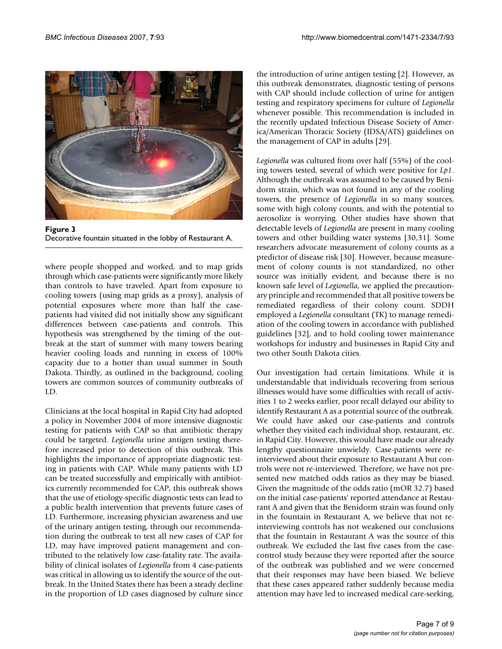

**Figure 3** Decorative fountain situated in the lobby of Restaurant A.

where people shopped and worked, and to map grids through which case-patients were significantly more likely than controls to have traveled. Apart from exposure to cooling towers (using map grids as a proxy), analysis of potential exposures where more than half the casepatients had visited did not initially show any significant differences between case-patients and controls. This hypothesis was strengthened by the timing of the outbreak at the start of summer with many towers bearing heavier cooling loads and running in excess of 100% capacity due to a hotter than usual summer in South Dakota. Thirdly, as outlined in the background, cooling towers are common sources of community outbreaks of LD.

Clinicians at the local hospital in Rapid City had adopted a policy in November 2004 of more intensive diagnostic testing for patients with CAP so that antibiotic therapy could be targeted. *Legionella* urine antigen testing therefore increased prior to detection of this outbreak. This highlights the importance of appropriate diagnostic testing in patients with CAP. While many patients with LD can be treated successfully and empirically with antibiotics currently recommended for CAP, this outbreak shows that the use of etiology-specific diagnostic tests can lead to a public health intervention that prevents future cases of LD. Furthermore, increasing physician awareness and use of the urinary antigen testing, through our recommendation during the outbreak to test all new cases of CAP for LD, may have improved patient management and contributed to the relatively low case-fatality rate. The availability of clinical isolates of *Legionella* from 4 case-patients was critical in allowing us to identify the source of the outbreak. In the United States there has been a steady decline in the proportion of LD cases diagnosed by culture since the introduction of urine antigen testing [2]. However, as this outbreak demonstrates, diagnostic testing of persons with CAP should include collection of urine for antigen testing and respiratory specimens for culture of *Legionella* whenever possible. This recommendation is included in the recently updated Infectious Disease Society of America/American Thoracic Society (IDSA/ATS) guidelines on the management of CAP in adults [29].

*Legionella* was cultured from over half (55%) of the cooling towers tested, several of which were positive for *Lp1*. Although the outbreak was assumed to be caused by Benidorm strain, which was not found in any of the cooling towers, the presence of *Legionella* in so many sources, some with high colony counts, and with the potential to aerosolize is worrying. Other studies have shown that detectable levels of *Legionella* are present in many cooling towers and other building water systems [30,31]. Some researchers advocate measurement of colony counts as a predictor of disease risk [30]. However, because measurement of colony counts is not standardized, no other source was initially evident, and because there is no known safe level of *Legionella*, we applied the precautionary principle and recommended that all positive towers be remediated regardless of their colony count. SDDH employed a *Legionella* consultant (TK) to manage remediation of the cooling towers in accordance with published guidelines [32], and to hold cooling tower maintenance workshops for industry and businesses in Rapid City and two other South Dakota cities.

Our investigation had certain limitations. While it is understandable that individuals recovering from serious illnesses would have some difficulties with recall of activities 1 to 2 weeks earlier, poor recall delayed our ability to identify Restaurant A as a potential source of the outbreak. We could have asked our case-patients and controls whether they visited each individual shop, restaurant, etc. in Rapid City. However, this would have made our already lengthy questionnaire unwieldy. Case-patients were reinterviewed about their exposure to Restaurant A but controls were not re-interviewed. Therefore, we have not presented new matched odds ratios as they may be biased. Given the magnitude of the odds ratio (mOR 32.7) based on the initial case-patients' reported attendance at Restaurant A and given that the Benidorm strain was found only in the fountain in Restaurant A, we believe that not reinterviewing controls has not weakened our conclusions that the fountain in Restaurant A was the source of this outbreak. We excluded the last five cases from the casecontrol study because they were reported after the source of the outbreak was published and we were concerned that their responses may have been biased. We believe that these cases appeared rather suddenly because media attention may have led to increased medical care-seeking,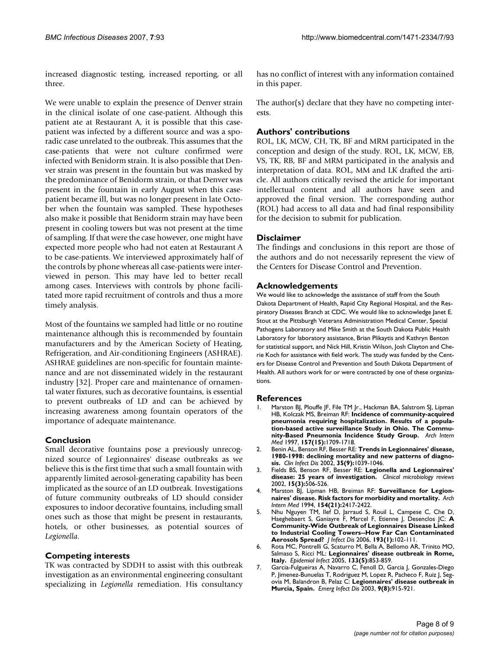increased diagnostic testing, increased reporting, or all three.

We were unable to explain the presence of Denver strain in the clinical isolate of one case-patient. Although this patient ate at Restaurant A, it is possible that this casepatient was infected by a different source and was a sporadic case unrelated to the outbreak. This assumes that the case-patients that were not culture confirmed were infected with Benidorm strain. It is also possible that Denver strain was present in the fountain but was masked by the predominance of Benidorm strain, or that Denver was present in the fountain in early August when this casepatient became ill, but was no longer present in late October when the fountain was sampled. These hypotheses also make it possible that Benidorm strain may have been present in cooling towers but was not present at the time of sampling. If that were the case however, one might have expected more people who had not eaten at Restaurant A to be case-patients. We interviewed approximately half of the controls by phone whereas all case-patients were interviewed in person. This may have led to better recall among cases. Interviews with controls by phone facilitated more rapid recruitment of controls and thus a more timely analysis.

Most of the fountains we sampled had little or no routine maintenance although this is recommended by fountain manufacturers and by the American Society of Heating, Refrigeration, and Air-conditioning Engineers (ASHRAE). ASHRAE guidelines are non-specific for fountain maintenance and are not disseminated widely in the restaurant industry [32]. Proper care and maintenance of ornamental water fixtures, such as decorative fountains, is essential to prevent outbreaks of LD and can be achieved by increasing awareness among fountain operators of the importance of adequate maintenance.

#### **Conclusion**

Small decorative fountains pose a previously unrecognized source of Legionnaires' disease outbreaks as we believe this is the first time that such a small fountain with apparently limited aerosol-generating capability has been implicated as the source of an LD outbreak. Investigations of future community outbreaks of LD should consider exposures to indoor decorative fountains, including small ones such as those that might be present in restaurants, hotels, or other businesses, as potential sources of *Legionella*.

#### **Competing interests**

TK was contracted by SDDH to assist with this outbreak investigation as an environmental engineering consultant specializing in *Legionella* remediation. His consultancy has no conflict of interest with any information contained in this paper.

The author(s) declare that they have no competing interests.

#### **Authors' contributions**

ROL, LK, MCW, CH, TK, BF and MRM participated in the conception and design of the study. ROL, LK, MCW, EB, VS, TK, RB, BF and MRM participated in the analysis and interpretation of data. ROL, MM and LK drafted the article. All authors critically revised the article for important intellectual content and all authors have seen and approved the final version. The corresponding author (ROL) had access to all data and had final responsibility for the decision to submit for publication.

#### **Disclaimer**

The findings and conclusions in this report are those of the authors and do not necessarily represent the view of the Centers for Disease Control and Prevention.

#### **Acknowledgements**

We would like to acknowledge the assistance of staff from the South Dakota Department of Health, Rapid City Regional Hospital, and the Respiratory Diseases Branch at CDC. We would like to acknowledge Janet E. Stout at the Pittsburgh Veterans Administration Medical Center, Special Pathogens Laboratory and Mike Smith at the South Dakota Public Health Laboratory for laboratory assistance, Brian Plikaytis and Kathryn Benton for statistical support, and Nick Hill, Kristin Wilson, Josh Clayton and Cherie Koch for assistance with field work. The study was funded by the Centers for Disease Control and Prevention and South Dakota Department of Health. All authors work for or were contracted by one of these organizations.

#### **References**

- 1. Marston BJ, Plouffe JF, File TM Jr., Hackman BA, Salstrom SJ, Lipman HB, Kolczak MS, Breiman RF: **[Incidence of community-acquired](http://www.ncbi.nlm.nih.gov/entrez/query.fcgi?cmd=Retrieve&db=PubMed&dopt=Abstract&list_uids=9250232) [pneumonia requiring hospitalization. Results of a popula](http://www.ncbi.nlm.nih.gov/entrez/query.fcgi?cmd=Retrieve&db=PubMed&dopt=Abstract&list_uids=9250232)tion-based active surveillance Study in Ohio. The Commu[nity-Based Pneumonia Incidence Study Group.](http://www.ncbi.nlm.nih.gov/entrez/query.fcgi?cmd=Retrieve&db=PubMed&dopt=Abstract&list_uids=9250232)** *Arch Intern Med* 1997, **157(15):**1709-1718.
- 2. Benin AL, Benson RF, Besser RE: **[Trends in Legionnaires' disease,](http://www.ncbi.nlm.nih.gov/entrez/query.fcgi?cmd=Retrieve&db=PubMed&dopt=Abstract&list_uids=12384836) [1980-1998: declining mortality and new patterns of diagno](http://www.ncbi.nlm.nih.gov/entrez/query.fcgi?cmd=Retrieve&db=PubMed&dopt=Abstract&list_uids=12384836)[sis.](http://www.ncbi.nlm.nih.gov/entrez/query.fcgi?cmd=Retrieve&db=PubMed&dopt=Abstract&list_uids=12384836)** *Clin Infect Dis* 2002, **35(9):**1039-1046.
- 3. Fields BS, Benson RF, Besser RE: **[Legionella and Legionnaires'](http://www.ncbi.nlm.nih.gov/entrez/query.fcgi?cmd=Retrieve&db=PubMed&dopt=Abstract&list_uids=12097254) [disease: 25 years of investigation.](http://www.ncbi.nlm.nih.gov/entrez/query.fcgi?cmd=Retrieve&db=PubMed&dopt=Abstract&list_uids=12097254)** *Clinical microbiology reviews* 2002, **15(3):**506-526.
- 4. Marston BJ, Lipman HB, Breiman RF: **[Surveillance for Legion](http://www.ncbi.nlm.nih.gov/entrez/query.fcgi?cmd=Retrieve&db=PubMed&dopt=Abstract&list_uids=7979837)[naires' disease. Risk factors for morbidity and mortality.](http://www.ncbi.nlm.nih.gov/entrez/query.fcgi?cmd=Retrieve&db=PubMed&dopt=Abstract&list_uids=7979837)** *Arch Intern Med* 1994, **154(21):**2417-2422.
- 5. Nhu Nguyen TM, Ilef D, Jarraud S, Rouil L, Campese C, Che D, Haeghebaert S, Ganiayre F, Marcel F, Etienne J, Desenclos JC: **[A](http://www.ncbi.nlm.nih.gov/entrez/query.fcgi?cmd=Retrieve&db=PubMed&dopt=Abstract&list_uids=16323138) [Community-Wide Outbreak of Legionnaires Disease Linked](http://www.ncbi.nlm.nih.gov/entrez/query.fcgi?cmd=Retrieve&db=PubMed&dopt=Abstract&list_uids=16323138) to Industrial Cooling Towers--How Far Can Contaminated [Aerosols Spread?](http://www.ncbi.nlm.nih.gov/entrez/query.fcgi?cmd=Retrieve&db=PubMed&dopt=Abstract&list_uids=16323138)** *J Infect Dis* 2006, **193(1):**102-111.
- 6. Rota MC, Pontrelli G, Scaturro M, Bella A, Bellomo AR, Trinito MO, Salmaso S, Ricci ML: **[Legionnaires' disease outbreak in Rome,](http://www.ncbi.nlm.nih.gov/entrez/query.fcgi?cmd=Retrieve&db=PubMed&dopt=Abstract&list_uids=16181505) [Italy.](http://www.ncbi.nlm.nih.gov/entrez/query.fcgi?cmd=Retrieve&db=PubMed&dopt=Abstract&list_uids=16181505)** *Epidemiol Infect* 2005, **133(5):**853-859.
- 7. Garcia-Fulgueiras A, Navarro C, Fenoll D, Garcia J, Gonzales-Diego P, Jimenez-Bunuelas T, Rodriguez M, Lopez R, Pacheco F, Ruiz J, Segovia M, Balandron B, Pelaz C: **[Legionnaires' disease outbreak in](http://www.ncbi.nlm.nih.gov/entrez/query.fcgi?cmd=Retrieve&db=PubMed&dopt=Abstract&list_uids=12967487) [Murcia, Spain.](http://www.ncbi.nlm.nih.gov/entrez/query.fcgi?cmd=Retrieve&db=PubMed&dopt=Abstract&list_uids=12967487)** *Emerg Infect Dis* 2003, **9(8):**915-921.